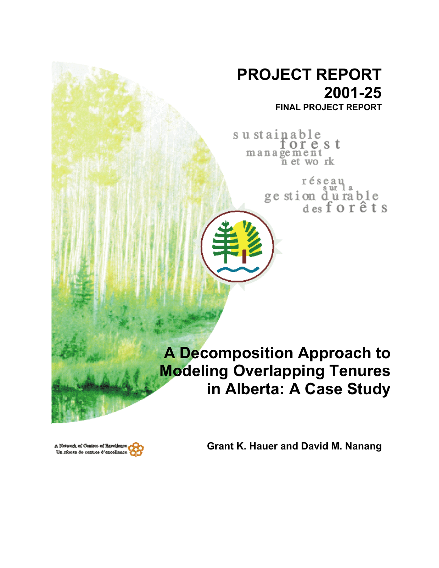# **PROJECT REPORT 2001-25**

**FINAL PROJECT REPORT**

sustainable orest management<br>net work

> réseau ur 1 ge stion durable<br>des for êts

**A Decomposition Approach to Modeling Overlapping Tenures in Alberta: A Case Study**



**Grant K. Hauer and David M. Nanang**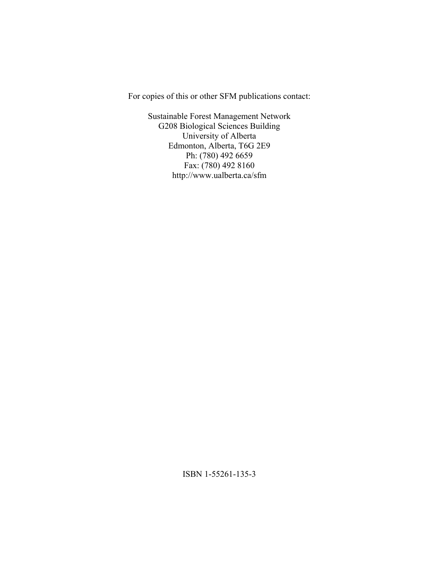For copies of this or other SFM publications contact:

Sustainable Forest Management Network G208 Biological Sciences Building University of Alberta Edmonton, Alberta, T6G 2E9 Ph: (780) 492 6659 Fax: (780) 492 8160 http://www.ualberta.ca/sfm

ISBN 1-55261-135-3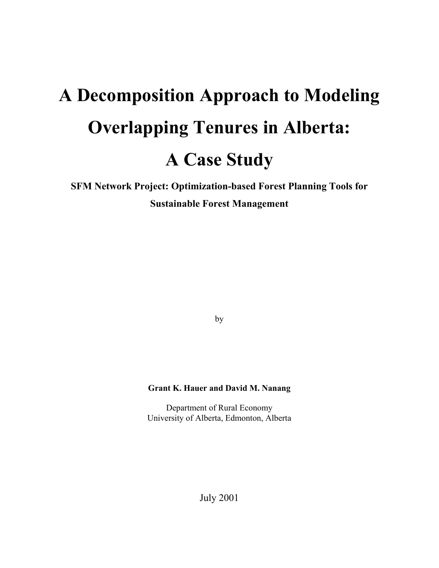# **A Decomposition Approach to Modeling Overlapping Tenures in Alberta: A Case Study**

**SFM Network Project: Optimization-based Forest Planning Tools for Sustainable Forest Management** 

by

#### **Grant K. Hauer and David M. Nanang**

Department of Rural Economy University of Alberta, Edmonton, Alberta

July 2001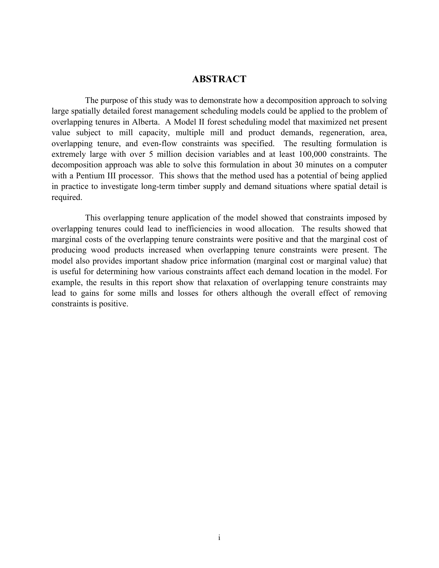# **ABSTRACT**

The purpose of this study was to demonstrate how a decomposition approach to solving large spatially detailed forest management scheduling models could be applied to the problem of overlapping tenures in Alberta. A Model II forest scheduling model that maximized net present value subject to mill capacity, multiple mill and product demands, regeneration, area, overlapping tenure, and even-flow constraints was specified. The resulting formulation is extremely large with over 5 million decision variables and at least 100,000 constraints. The decomposition approach was able to solve this formulation in about 30 minutes on a computer with a Pentium III processor. This shows that the method used has a potential of being applied in practice to investigate long-term timber supply and demand situations where spatial detail is required.

This overlapping tenure application of the model showed that constraints imposed by overlapping tenures could lead to inefficiencies in wood allocation. The results showed that marginal costs of the overlapping tenure constraints were positive and that the marginal cost of producing wood products increased when overlapping tenure constraints were present. The model also provides important shadow price information (marginal cost or marginal value) that is useful for determining how various constraints affect each demand location in the model. For example, the results in this report show that relaxation of overlapping tenure constraints may lead to gains for some mills and losses for others although the overall effect of removing constraints is positive.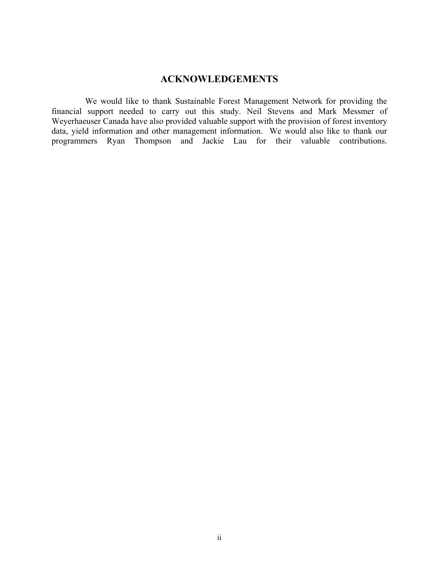# **ACKNOWLEDGEMENTS**

We would like to thank Sustainable Forest Management Network for providing the financial support needed to carry out this study. Neil Stevens and Mark Messmer of Weyerhaeuser Canada have also provided valuable support with the provision of forest inventory data, yield information and other management information. We would also like to thank our programmers Ryan Thompson and Jackie Lau for their valuable contributions.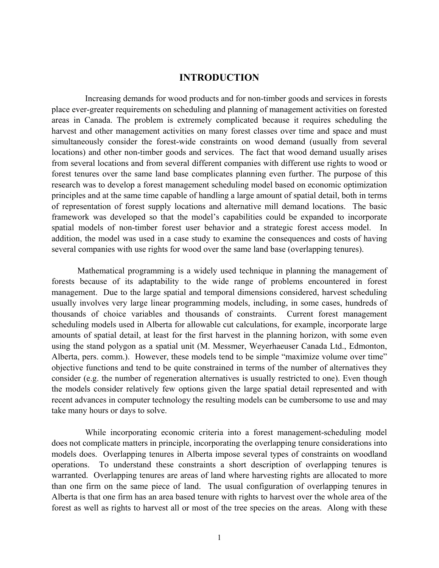#### **INTRODUCTION**

Increasing demands for wood products and for non-timber goods and services in forests place ever-greater requirements on scheduling and planning of management activities on forested areas in Canada. The problem is extremely complicated because it requires scheduling the harvest and other management activities on many forest classes over time and space and must simultaneously consider the forest-wide constraints on wood demand (usually from several locations) and other non-timber goods and services. The fact that wood demand usually arises from several locations and from several different companies with different use rights to wood or forest tenures over the same land base complicates planning even further. The purpose of this research was to develop a forest management scheduling model based on economic optimization principles and at the same time capable of handling a large amount of spatial detail, both in terms of representation of forest supply locations and alternative mill demand locations. The basic framework was developed so that the model's capabilities could be expanded to incorporate spatial models of non-timber forest user behavior and a strategic forest access model. In addition, the model was used in a case study to examine the consequences and costs of having several companies with use rights for wood over the same land base (overlapping tenures).

Mathematical programming is a widely used technique in planning the management of forests because of its adaptability to the wide range of problems encountered in forest management. Due to the large spatial and temporal dimensions considered, harvest scheduling usually involves very large linear programming models, including, in some cases, hundreds of thousands of choice variables and thousands of constraints. Current forest management scheduling models used in Alberta for allowable cut calculations, for example, incorporate large amounts of spatial detail, at least for the first harvest in the planning horizon, with some even using the stand polygon as a spatial unit (M. Messmer, Weyerhaeuser Canada Ltd., Edmonton, Alberta, pers. comm.). However, these models tend to be simple "maximize volume over time" objective functions and tend to be quite constrained in terms of the number of alternatives they consider (e.g. the number of regeneration alternatives is usually restricted to one). Even though the models consider relatively few options given the large spatial detail represented and with recent advances in computer technology the resulting models can be cumbersome to use and may take many hours or days to solve.

While incorporating economic criteria into a forest management-scheduling model does not complicate matters in principle, incorporating the overlapping tenure considerations into models does. Overlapping tenures in Alberta impose several types of constraints on woodland operations. To understand these constraints a short description of overlapping tenures is warranted. Overlapping tenures are areas of land where harvesting rights are allocated to more than one firm on the same piece of land. The usual configuration of overlapping tenures in Alberta is that one firm has an area based tenure with rights to harvest over the whole area of the forest as well as rights to harvest all or most of the tree species on the areas. Along with these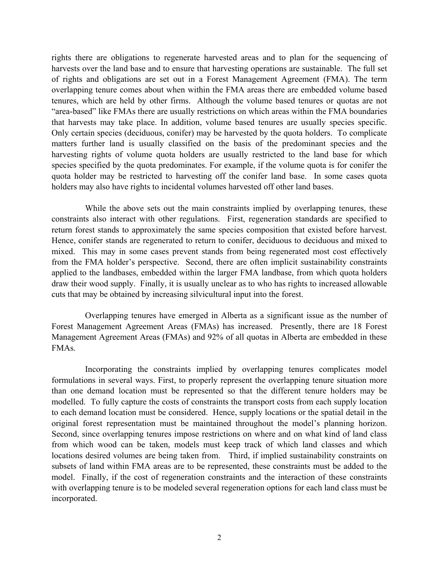rights there are obligations to regenerate harvested areas and to plan for the sequencing of harvests over the land base and to ensure that harvesting operations are sustainable. The full set of rights and obligations are set out in a Forest Management Agreement (FMA). The term overlapping tenure comes about when within the FMA areas there are embedded volume based tenures, which are held by other firms. Although the volume based tenures or quotas are not "area-based" like FMAs there are usually restrictions on which areas within the FMA boundaries that harvests may take place. In addition, volume based tenures are usually species specific. Only certain species (deciduous, conifer) may be harvested by the quota holders. To complicate matters further land is usually classified on the basis of the predominant species and the harvesting rights of volume quota holders are usually restricted to the land base for which species specified by the quota predominates. For example, if the volume quota is for conifer the quota holder may be restricted to harvesting off the conifer land base. In some cases quota holders may also have rights to incidental volumes harvested off other land bases.

While the above sets out the main constraints implied by overlapping tenures, these constraints also interact with other regulations. First, regeneration standards are specified to return forest stands to approximately the same species composition that existed before harvest. Hence, conifer stands are regenerated to return to conifer, deciduous to deciduous and mixed to mixed. This may in some cases prevent stands from being regenerated most cost effectively from the FMA holder's perspective. Second, there are often implicit sustainability constraints applied to the landbases, embedded within the larger FMA landbase, from which quota holders draw their wood supply. Finally, it is usually unclear as to who has rights to increased allowable cuts that may be obtained by increasing silvicultural input into the forest.

Overlapping tenures have emerged in Alberta as a significant issue as the number of Forest Management Agreement Areas (FMAs) has increased. Presently, there are 18 Forest Management Agreement Areas (FMAs) and 92% of all quotas in Alberta are embedded in these FMAs.

Incorporating the constraints implied by overlapping tenures complicates model formulations in several ways. First, to properly represent the overlapping tenure situation more than one demand location must be represented so that the different tenure holders may be modelled. To fully capture the costs of constraints the transport costs from each supply location to each demand location must be considered. Hence, supply locations or the spatial detail in the original forest representation must be maintained throughout the model's planning horizon. Second, since overlapping tenures impose restrictions on where and on what kind of land class from which wood can be taken, models must keep track of which land classes and which locations desired volumes are being taken from. Third, if implied sustainability constraints on subsets of land within FMA areas are to be represented, these constraints must be added to the model. Finally, if the cost of regeneration constraints and the interaction of these constraints with overlapping tenure is to be modeled several regeneration options for each land class must be incorporated.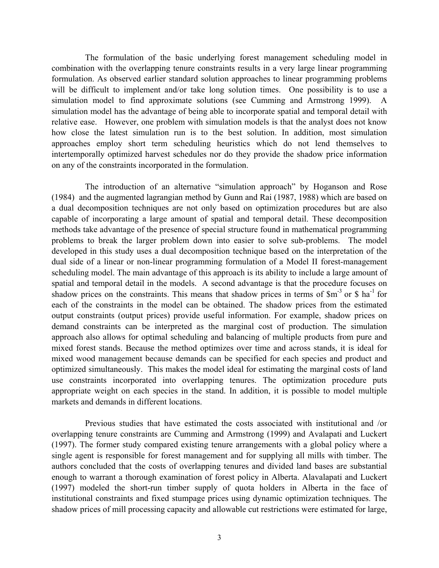The formulation of the basic underlying forest management scheduling model in combination with the overlapping tenure constraints results in a very large linear programming formulation. As observed earlier standard solution approaches to linear programming problems will be difficult to implement and/or take long solution times. One possibility is to use a simulation model to find approximate solutions (see Cumming and Armstrong 1999). A simulation model has the advantage of being able to incorporate spatial and temporal detail with relative ease. However, one problem with simulation models is that the analyst does not know how close the latest simulation run is to the best solution. In addition, most simulation approaches employ short term scheduling heuristics which do not lend themselves to intertemporally optimized harvest schedules nor do they provide the shadow price information on any of the constraints incorporated in the formulation.

The introduction of an alternative "simulation approach" by Hoganson and Rose (1984) and the augmented lagrangian method by Gunn and Rai (1987, 1988) which are based on a dual decomposition techniques are not only based on optimization procedures but are also capable of incorporating a large amount of spatial and temporal detail. These decomposition methods take advantage of the presence of special structure found in mathematical programming problems to break the larger problem down into easier to solve sub-problems. The model developed in this study uses a dual decomposition technique based on the interpretation of the dual side of a linear or non-linear programming formulation of a Model II forest-management scheduling model. The main advantage of this approach is its ability to include a large amount of spatial and temporal detail in the models. A second advantage is that the procedure focuses on shadow prices on the constraints. This means that shadow prices in terms of  $\text{Sm}^3$  or  $\text{\$}$  ha<sup>-1</sup> for each of the constraints in the model can be obtained. The shadow prices from the estimated output constraints (output prices) provide useful information. For example, shadow prices on demand constraints can be interpreted as the marginal cost of production. The simulation approach also allows for optimal scheduling and balancing of multiple products from pure and mixed forest stands. Because the method optimizes over time and across stands, it is ideal for mixed wood management because demands can be specified for each species and product and optimized simultaneously. This makes the model ideal for estimating the marginal costs of land use constraints incorporated into overlapping tenures. The optimization procedure puts appropriate weight on each species in the stand. In addition, it is possible to model multiple markets and demands in different locations.

Previous studies that have estimated the costs associated with institutional and /or overlapping tenure constraints are Cumming and Armstrong (1999) and Avalapati and Luckert (1997). The former study compared existing tenure arrangements with a global policy where a single agent is responsible for forest management and for supplying all mills with timber. The authors concluded that the costs of overlapping tenures and divided land bases are substantial enough to warrant a thorough examination of forest policy in Alberta. Alavalapati and Luckert (1997) modeled the short-run timber supply of quota holders in Alberta in the face of institutional constraints and fixed stumpage prices using dynamic optimization techniques. The shadow prices of mill processing capacity and allowable cut restrictions were estimated for large,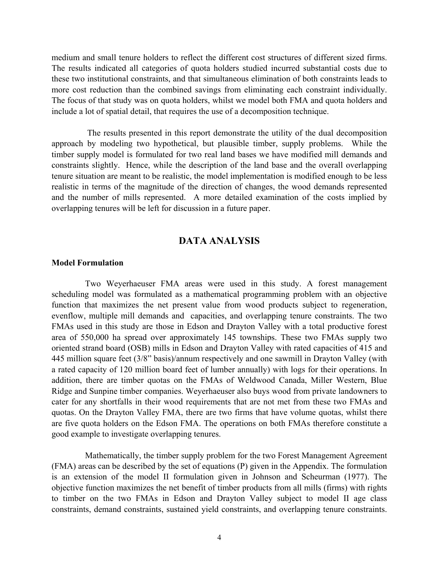medium and small tenure holders to reflect the different cost structures of different sized firms. The results indicated all categories of quota holders studied incurred substantial costs due to these two institutional constraints, and that simultaneous elimination of both constraints leads to more cost reduction than the combined savings from eliminating each constraint individually. The focus of that study was on quota holders, whilst we model both FMA and quota holders and include a lot of spatial detail, that requires the use of a decomposition technique.

The results presented in this report demonstrate the utility of the dual decomposition approach by modeling two hypothetical, but plausible timber, supply problems. While the timber supply model is formulated for two real land bases we have modified mill demands and constraints slightly. Hence, while the description of the land base and the overall overlapping tenure situation are meant to be realistic, the model implementation is modified enough to be less realistic in terms of the magnitude of the direction of changes, the wood demands represented and the number of mills represented. A more detailed examination of the costs implied by overlapping tenures will be left for discussion in a future paper.

#### **DATA ANALYSIS**

#### **Model Formulation**

Two Weyerhaeuser FMA areas were used in this study. A forest management scheduling model was formulated as a mathematical programming problem with an objective function that maximizes the net present value from wood products subject to regeneration, evenflow, multiple mill demands and capacities, and overlapping tenure constraints. The two FMAs used in this study are those in Edson and Drayton Valley with a total productive forest area of 550,000 ha spread over approximately 145 townships. These two FMAs supply two oriented strand board (OSB) mills in Edson and Drayton Valley with rated capacities of 415 and 445 million square feet (3/8" basis)/annum respectively and one sawmill in Drayton Valley (with a rated capacity of 120 million board feet of lumber annually) with logs for their operations. In addition, there are timber quotas on the FMAs of Weldwood Canada, Miller Western, Blue Ridge and Sunpine timber companies. Weyerhaeuser also buys wood from private landowners to cater for any shortfalls in their wood requirements that are not met from these two FMAs and quotas. On the Drayton Valley FMA, there are two firms that have volume quotas, whilst there are five quota holders on the Edson FMA. The operations on both FMAs therefore constitute a good example to investigate overlapping tenures.

Mathematically, the timber supply problem for the two Forest Management Agreement (FMA) areas can be described by the set of equations (P) given in the Appendix. The formulation is an extension of the model II formulation given in Johnson and Scheurman (1977). The objective function maximizes the net benefit of timber products from all mills (firms) with rights to timber on the two FMAs in Edson and Drayton Valley subject to model II age class constraints, demand constraints, sustained yield constraints, and overlapping tenure constraints.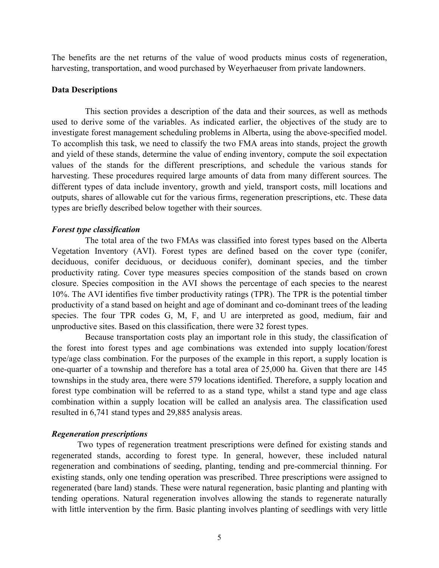The benefits are the net returns of the value of wood products minus costs of regeneration, harvesting, transportation, and wood purchased by Weyerhaeuser from private landowners.

#### **Data Descriptions**

This section provides a description of the data and their sources, as well as methods used to derive some of the variables. As indicated earlier, the objectives of the study are to investigate forest management scheduling problems in Alberta, using the above-specified model. To accomplish this task, we need to classify the two FMA areas into stands, project the growth and yield of these stands, determine the value of ending inventory, compute the soil expectation values of the stands for the different prescriptions, and schedule the various stands for harvesting. These procedures required large amounts of data from many different sources. The different types of data include inventory, growth and yield, transport costs, mill locations and outputs, shares of allowable cut for the various firms, regeneration prescriptions, etc. These data types are briefly described below together with their sources.

#### *Forest type classification*

The total area of the two FMAs was classified into forest types based on the Alberta Vegetation Inventory (AVI). Forest types are defined based on the cover type (conifer, deciduous, conifer deciduous, or deciduous conifer), dominant species, and the timber productivity rating. Cover type measures species composition of the stands based on crown closure. Species composition in the AVI shows the percentage of each species to the nearest 10%. The AVI identifies five timber productivity ratings (TPR). The TPR is the potential timber productivity of a stand based on height and age of dominant and co-dominant trees of the leading species. The four TPR codes G, M, F, and U are interpreted as good, medium, fair and unproductive sites. Based on this classification, there were 32 forest types.

Because transportation costs play an important role in this study, the classification of the forest into forest types and age combinations was extended into supply location/forest type/age class combination. For the purposes of the example in this report, a supply location is one-quarter of a township and therefore has a total area of 25,000 ha. Given that there are 145 townships in the study area, there were 579 locations identified. Therefore, a supply location and forest type combination will be referred to as a stand type, whilst a stand type and age class combination within a supply location will be called an analysis area. The classification used resulted in 6,741 stand types and 29,885 analysis areas.

#### *Regeneration prescriptions*

Two types of regeneration treatment prescriptions were defined for existing stands and regenerated stands, according to forest type. In general, however, these included natural regeneration and combinations of seeding, planting, tending and pre-commercial thinning. For existing stands, only one tending operation was prescribed. Three prescriptions were assigned to regenerated (bare land) stands. These were natural regeneration, basic planting and planting with tending operations. Natural regeneration involves allowing the stands to regenerate naturally with little intervention by the firm. Basic planting involves planting of seedlings with very little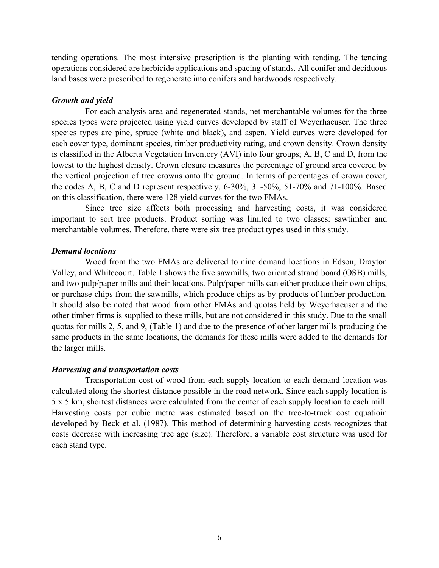tending operations. The most intensive prescription is the planting with tending. The tending operations considered are herbicide applications and spacing of stands. All conifer and deciduous land bases were prescribed to regenerate into conifers and hardwoods respectively.

#### *Growth and yield*

For each analysis area and regenerated stands, net merchantable volumes for the three species types were projected using yield curves developed by staff of Weyerhaeuser. The three species types are pine, spruce (white and black), and aspen. Yield curves were developed for each cover type, dominant species, timber productivity rating, and crown density. Crown density is classified in the Alberta Vegetation Inventory (AVI) into four groups; A, B, C and D, from the lowest to the highest density. Crown closure measures the percentage of ground area covered by the vertical projection of tree crowns onto the ground. In terms of percentages of crown cover, the codes A, B, C and D represent respectively, 6-30%, 31-50%, 51-70% and 71-100%. Based on this classification, there were 128 yield curves for the two FMAs.

Since tree size affects both processing and harvesting costs, it was considered important to sort tree products. Product sorting was limited to two classes: sawtimber and merchantable volumes. Therefore, there were six tree product types used in this study.

#### *Demand locations*

Wood from the two FMAs are delivered to nine demand locations in Edson, Drayton Valley, and Whitecourt. Table 1 shows the five sawmills, two oriented strand board (OSB) mills, and two pulp/paper mills and their locations. Pulp/paper mills can either produce their own chips, or purchase chips from the sawmills, which produce chips as by-products of lumber production. It should also be noted that wood from other FMAs and quotas held by Weyerhaeuser and the other timber firms is supplied to these mills, but are not considered in this study. Due to the small quotas for mills 2, 5, and 9, (Table 1) and due to the presence of other larger mills producing the same products in the same locations, the demands for these mills were added to the demands for the larger mills.

#### *Harvesting and transportation costs*

Transportation cost of wood from each supply location to each demand location was calculated along the shortest distance possible in the road network. Since each supply location is 5 x 5 km, shortest distances were calculated from the center of each supply location to each mill. Harvesting costs per cubic metre was estimated based on the tree-to-truck cost equatioin developed by Beck et al. (1987). This method of determining harvesting costs recognizes that costs decrease with increasing tree age (size). Therefore, a variable cost structure was used for each stand type.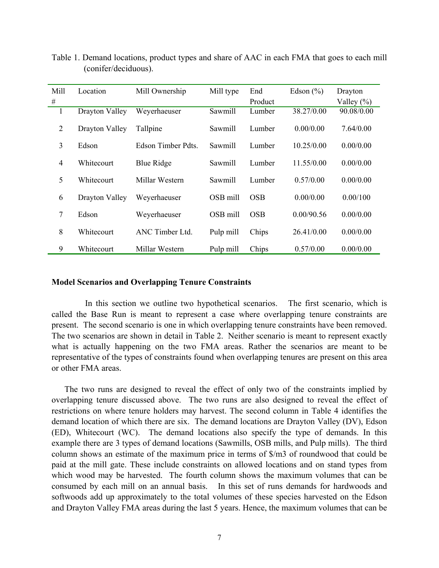| Mill           | Location       | Mill Ownership     | Mill type | End        | Edson $(\% )$ | Drayton        |
|----------------|----------------|--------------------|-----------|------------|---------------|----------------|
| #              |                |                    |           | Product    |               | Valley $(\% )$ |
| 1              | Drayton Valley | Weyerhaeuser       | Sawmill   | Lumber     | 38.27/0.00    | 90.08/0.00     |
| $\overline{2}$ | Drayton Valley | Tallpine           | Sawmill   | Lumber     | 0.00/0.00     | 7.64/0.00      |
| 3              | Edson          | Edson Timber Pdts. | Sawmill   | Lumber     | 10.25/0.00    | 0.00/0.00      |
| 4              | Whitecourt     | <b>Blue Ridge</b>  | Sawmill   | Lumber     | 11.55/0.00    | 0.00/0.00      |
| 5              | Whitecourt     | Millar Western     | Sawmill   | Lumber     | 0.57/0.00     | 0.00/0.00      |
| 6              | Drayton Valley | Weyerhaeuser       | OSB mill  | <b>OSB</b> | 0.00/0.00     | 0.00/100       |
| 7              | Edson          | Weyerhaeuser       | OSB mill  | <b>OSB</b> | 0.00/90.56    | 0.00/0.00      |
| 8              | Whitecourt     | ANC Timber Ltd.    | Pulp mill | Chips      | 26.41/0.00    | 0.00/0.00      |
| 9              | Whitecourt     | Millar Western     | Pulp mill | Chips      | 0.57/0.00     | 0.00/0.00      |

Table 1. Demand locations, product types and share of AAC in each FMA that goes to each mill (conifer/deciduous).

#### **Model Scenarios and Overlapping Tenure Constraints**

In this section we outline two hypothetical scenarios. The first scenario, which is called the Base Run is meant to represent a case where overlapping tenure constraints are present. The second scenario is one in which overlapping tenure constraints have been removed. The two scenarios are shown in detail in Table 2. Neither scenario is meant to represent exactly what is actually happening on the two FMA areas. Rather the scenarios are meant to be representative of the types of constraints found when overlapping tenures are present on this area or other FMA areas.

The two runs are designed to reveal the effect of only two of the constraints implied by overlapping tenure discussed above. The two runs are also designed to reveal the effect of restrictions on where tenure holders may harvest. The second column in Table 4 identifies the demand location of which there are six. The demand locations are Drayton Valley (DV), Edson (ED), Whitecourt (WC). The demand locations also specify the type of demands. In this example there are 3 types of demand locations (Sawmills, OSB mills, and Pulp mills). The third column shows an estimate of the maximum price in terms of \$/m3 of roundwood that could be paid at the mill gate. These include constraints on allowed locations and on stand types from which wood may be harvested. The fourth column shows the maximum volumes that can be consumed by each mill on an annual basis. In this set of runs demands for hardwoods and softwoods add up approximately to the total volumes of these species harvested on the Edson and Drayton Valley FMA areas during the last 5 years. Hence, the maximum volumes that can be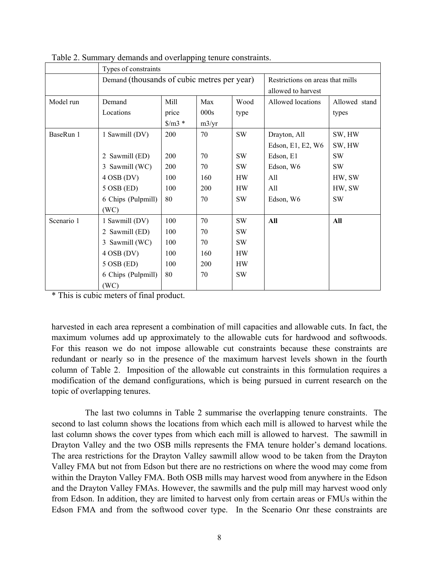|            | Types of constraints |                                             |       |           |                                                        |               |  |
|------------|----------------------|---------------------------------------------|-------|-----------|--------------------------------------------------------|---------------|--|
|            |                      | Demand (thousands of cubic metres per year) |       |           | Restrictions on areas that mills<br>allowed to harvest |               |  |
| Model run  | Demand               | Mill                                        | Max   | Wood      | Allowed locations                                      | Allowed stand |  |
|            | Locations            | price                                       | 000s  | type      |                                                        | types         |  |
|            |                      | $\gamma/m3$ *                               | m3/yr |           |                                                        |               |  |
| BaseRun 1  | 1 Sawmill (DV)       | 200                                         | 70    | <b>SW</b> | Drayton, All                                           | SW, HW        |  |
|            |                      |                                             |       |           | Edson, E1, E2, W6                                      | SW, HW        |  |
|            | 2 Sawmill (ED)       | <b>200</b>                                  | 70    | <b>SW</b> | Edson, E1                                              | SW            |  |
|            | 3 Sawmill (WC)       | 200                                         | 70    | <b>SW</b> | Edson, W6                                              | <b>SW</b>     |  |
|            | $4$ OSB (DV)         | 100                                         | 160   | <b>HW</b> | All                                                    | HW, SW        |  |
|            | $5$ OSB (ED)         | 100                                         | 200   | <b>HW</b> | All                                                    | HW, SW        |  |
|            | 6 Chips (Pulpmill)   | 80                                          | 70    | <b>SW</b> | Edson, W6                                              | SW            |  |
|            | (WC)                 |                                             |       |           |                                                        |               |  |
| Scenario 1 | 1 Sawmill (DV)       | 100                                         | 70    | <b>SW</b> | All                                                    | All           |  |
|            | 2 Sawmill (ED)       | 100                                         | 70    | <b>SW</b> |                                                        |               |  |
|            | 3 Sawmill (WC)       | 100                                         | 70    | <b>SW</b> |                                                        |               |  |
|            | $4$ OSB (DV)         | 100                                         | 160   | <b>HW</b> |                                                        |               |  |
|            | $5$ OSB (ED)         | 100                                         | 200   | <b>HW</b> |                                                        |               |  |
|            | 6 Chips (Pulpmill)   | 80                                          | 70    | <b>SW</b> |                                                        |               |  |
|            | (WC)                 |                                             |       |           |                                                        |               |  |

Table 2. Summary demands and overlapping tenure constraints.

\* This is cubic meters of final product.

harvested in each area represent a combination of mill capacities and allowable cuts. In fact, the maximum volumes add up approximately to the allowable cuts for hardwood and softwoods. For this reason we do not impose allowable cut constraints because these constraints are redundant or nearly so in the presence of the maximum harvest levels shown in the fourth column of Table 2. Imposition of the allowable cut constraints in this formulation requires a modification of the demand configurations, which is being pursued in current research on the topic of overlapping tenures.

The last two columns in Table 2 summarise the overlapping tenure constraints. The second to last column shows the locations from which each mill is allowed to harvest while the last column shows the cover types from which each mill is allowed to harvest. The sawmill in Drayton Valley and the two OSB mills represents the FMA tenure holder's demand locations. The area restrictions for the Drayton Valley sawmill allow wood to be taken from the Drayton Valley FMA but not from Edson but there are no restrictions on where the wood may come from within the Drayton Valley FMA. Both OSB mills may harvest wood from anywhere in the Edson and the Drayton Valley FMAs. However, the sawmills and the pulp mill may harvest wood only from Edson. In addition, they are limited to harvest only from certain areas or FMUs within the Edson FMA and from the softwood cover type. In the Scenario Onr these constraints are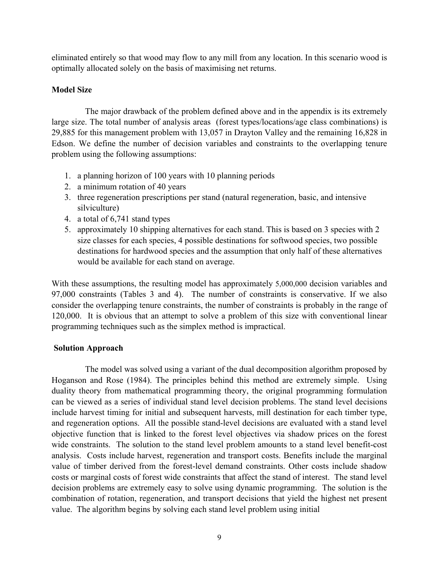eliminated entirely so that wood may flow to any mill from any location. In this scenario wood is optimally allocated solely on the basis of maximising net returns.

# **Model Size**

The major drawback of the problem defined above and in the appendix is its extremely large size. The total number of analysis areas (forest types/locations/age class combinations) is 29,885 for this management problem with 13,057 in Drayton Valley and the remaining 16,828 in Edson. We define the number of decision variables and constraints to the overlapping tenure problem using the following assumptions:

- 1. a planning horizon of 100 years with 10 planning periods
- 2. a minimum rotation of 40 years
- 3. three regeneration prescriptions per stand (natural regeneration, basic, and intensive silviculture)
- 4. a total of 6,741 stand types
- 5. approximately 10 shipping alternatives for each stand. This is based on 3 species with 2 size classes for each species, 4 possible destinations for softwood species, two possible destinations for hardwood species and the assumption that only half of these alternatives would be available for each stand on average.

With these assumptions, the resulting model has approximately 5,000,000 decision variables and 97,000 constraints (Tables 3 and 4). The number of constraints is conservative. If we also consider the overlapping tenure constraints, the number of constraints is probably in the range of 120,000. It is obvious that an attempt to solve a problem of this size with conventional linear programming techniques such as the simplex method is impractical.

#### **Solution Approach**

The model was solved using a variant of the dual decomposition algorithm proposed by Hoganson and Rose (1984). The principles behind this method are extremely simple. Using duality theory from mathematical programming theory, the original programming formulation can be viewed as a series of individual stand level decision problems. The stand level decisions include harvest timing for initial and subsequent harvests, mill destination for each timber type, and regeneration options. All the possible stand-level decisions are evaluated with a stand level objective function that is linked to the forest level objectives via shadow prices on the forest wide constraints. The solution to the stand level problem amounts to a stand level benefit-cost analysis. Costs include harvest, regeneration and transport costs. Benefits include the marginal value of timber derived from the forest-level demand constraints. Other costs include shadow costs or marginal costs of forest wide constraints that affect the stand of interest. The stand level decision problems are extremely easy to solve using dynamic programming. The solution is the combination of rotation, regeneration, and transport decisions that yield the highest net present value. The algorithm begins by solving each stand level problem using initial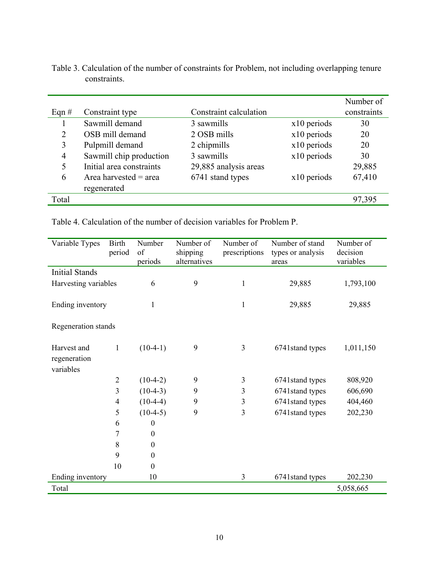|                          |                        |               | Number of   |
|--------------------------|------------------------|---------------|-------------|
| Constraint type          | Constraint calculation |               | constraints |
| Sawmill demand           | 3 sawmills             | $x10$ periods | 30          |
| OSB mill demand          | 2 OSB mills            | x10 periods   | 20          |
| Pulpmill demand          | 2 chipmills            | $x10$ periods | 20          |
| Sawmill chip production  | 3 sawmills             | x10 periods   | 30          |
| Initial area constraints | 29,885 analysis areas  |               | 29,885      |
| Area harvested $=$ area  | 6741 stand types       | $x10$ periods | 67,410      |
| regenerated              |                        |               |             |
|                          |                        |               | 97,395      |
|                          |                        |               |             |

Table 3. Calculation of the number of constraints for Problem, not including overlapping tenure constraints.

Table 4. Calculation of the number of decision variables for Problem P.

| Variable Types        | <b>Birth</b><br>period | Number<br>of     | Number of<br>shipping | Number of<br>prescriptions | Number of stand<br>types or analysis | Number of<br>decision |
|-----------------------|------------------------|------------------|-----------------------|----------------------------|--------------------------------------|-----------------------|
|                       |                        | periods          | alternatives          |                            | areas                                | variables             |
| <b>Initial Stands</b> |                        |                  |                       |                            |                                      |                       |
| Harvesting variables  |                        | 6                | 9                     | 1                          | 29,885                               | 1,793,100             |
|                       |                        |                  |                       |                            |                                      |                       |
| Ending inventory      |                        | 1                |                       | 1                          | 29,885                               | 29,885                |
| Regeneration stands   |                        |                  |                       |                            |                                      |                       |
|                       |                        |                  |                       |                            |                                      |                       |
| Harvest and           | 1                      | $(10-4-1)$       | 9                     | 3                          | 6741stand types                      | 1,011,150             |
| regeneration          |                        |                  |                       |                            |                                      |                       |
| variables             |                        |                  |                       |                            |                                      |                       |
|                       | $\overline{2}$         | $(10-4-2)$       | 9                     | 3                          | 6741stand types                      | 808,920               |
|                       | 3                      | $(10-4-3)$       | 9                     | 3                          | 6741stand types                      | 606,690               |
|                       | $\overline{4}$         | $(10-4-4)$       | 9                     | 3                          | 6741stand types                      | 404,460               |
|                       | 5                      | $(10-4-5)$       | 9                     | $\overline{3}$             | 6741stand types                      | 202,230               |
|                       | 6                      | $\boldsymbol{0}$ |                       |                            |                                      |                       |
|                       | 7                      | $\boldsymbol{0}$ |                       |                            |                                      |                       |
|                       | 8                      | $\boldsymbol{0}$ |                       |                            |                                      |                       |
|                       | 9                      | $\boldsymbol{0}$ |                       |                            |                                      |                       |
|                       | 10                     | $\boldsymbol{0}$ |                       |                            |                                      |                       |
| Ending inventory      |                        | 10               |                       | 3                          | 6741 stand types                     | 202,230               |
| Total                 |                        |                  |                       |                            |                                      | 5,058,665             |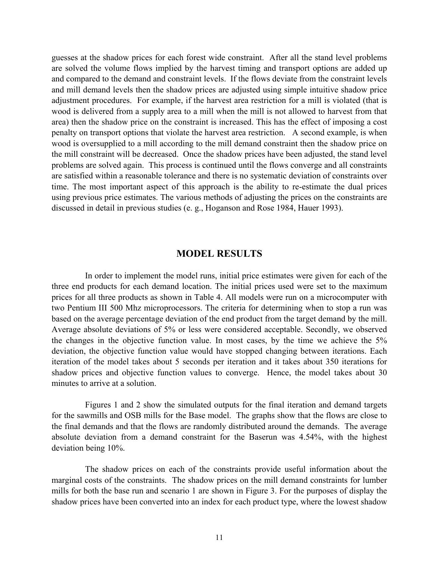guesses at the shadow prices for each forest wide constraint. After all the stand level problems are solved the volume flows implied by the harvest timing and transport options are added up and compared to the demand and constraint levels. If the flows deviate from the constraint levels and mill demand levels then the shadow prices are adjusted using simple intuitive shadow price adjustment procedures. For example, if the harvest area restriction for a mill is violated (that is wood is delivered from a supply area to a mill when the mill is not allowed to harvest from that area) then the shadow price on the constraint is increased. This has the effect of imposing a cost penalty on transport options that violate the harvest area restriction. A second example, is when wood is oversupplied to a mill according to the mill demand constraint then the shadow price on the mill constraint will be decreased. Once the shadow prices have been adjusted, the stand level problems are solved again. This process is continued until the flows converge and all constraints are satisfied within a reasonable tolerance and there is no systematic deviation of constraints over time. The most important aspect of this approach is the ability to re-estimate the dual prices using previous price estimates. The various methods of adjusting the prices on the constraints are discussed in detail in previous studies (e. g., Hoganson and Rose 1984, Hauer 1993).

#### **MODEL RESULTS**

In order to implement the model runs, initial price estimates were given for each of the three end products for each demand location. The initial prices used were set to the maximum prices for all three products as shown in Table 4. All models were run on a microcomputer with two Pentium III 500 Mhz microprocessors. The criteria for determining when to stop a run was based on the average percentage deviation of the end product from the target demand by the mill. Average absolute deviations of 5% or less were considered acceptable. Secondly, we observed the changes in the objective function value. In most cases, by the time we achieve the 5% deviation, the objective function value would have stopped changing between iterations. Each iteration of the model takes about 5 seconds per iteration and it takes about 350 iterations for shadow prices and objective function values to converge. Hence, the model takes about 30 minutes to arrive at a solution.

Figures 1 and 2 show the simulated outputs for the final iteration and demand targets for the sawmills and OSB mills for the Base model. The graphs show that the flows are close to the final demands and that the flows are randomly distributed around the demands. The average absolute deviation from a demand constraint for the Baserun was 4.54%, with the highest deviation being 10%.

The shadow prices on each of the constraints provide useful information about the marginal costs of the constraints. The shadow prices on the mill demand constraints for lumber mills for both the base run and scenario 1 are shown in Figure 3. For the purposes of display the shadow prices have been converted into an index for each product type, where the lowest shadow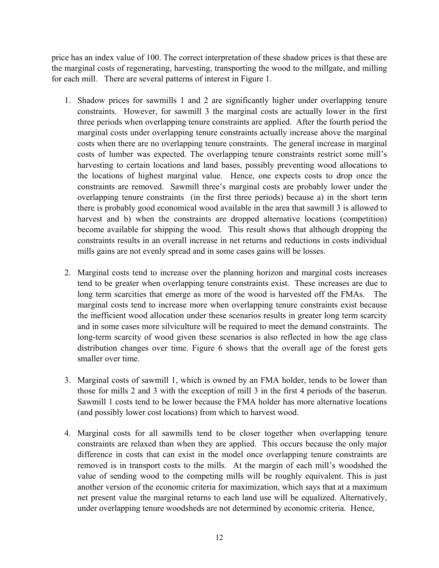price has an index value of 100. The correct interpretation of these shadow prices is that these are the marginal costs of regenerating, harvesting, transporting the wood to the millgate, and milling for each mill. There are several patterns of interest in Figure 1.

- 1. Shadow prices for sawmills 1 and 2 are significantly higher under overlapping tenure constraints. However, for sawmill 3 the marginal costs are actually lower in the first three periods when overlapping tenure constraints are applied. After the fourth period the marginal costs under overlapping tenure constraints actually increase above the marginal costs when there are no overlapping tenure constraints. The general increase in marginal costs of lumber was expected. The overlapping tenure constraints restrict some mill's harvesting to certain locations and land bases, possibly preventing wood allocations to the locations of highest marginal value. Hence, one expects costs to drop once the constraints are removed. Sawmill three's marginal costs are probably lower under the overlapping tenure constraints (in the first three periods) because a) in the short term there is probably good economical wood available in the area that sawmill 3 is allowed to harvest and b) when the constraints are dropped alternative locations (competition) become available for shipping the wood. This result shows that although dropping the constraints results in an overall increase in net returns and reductions in costs individual mills gains are not evenly spread and in some cases gains will be losses.
- 2. Marginal costs tend to increase over the planning horizon and marginal costs increases tend to be greater when overlapping tenure constraints exist. These increases are due to long term scarcities that emerge as more of the wood is harvested off the FMAs. The marginal costs tend to increase more when overlapping tenure constraints exist because the inefficient wood allocation under these scenarios results in greater long term scarcity and in some cases more silviculture will be required to meet the demand constraints. The long-term scarcity of wood given these scenarios is also reflected in how the age class distribution changes over time. Figure 6 shows that the overall age of the forest gets smaller over time.
- 3. Marginal costs of sawmill 1, which is owned by an FMA holder, tends to be lower than those for mills 2 and 3 with the exception of mill 3 in the first 4 periods of the baserun. Sawmill 1 costs tend to be lower because the FMA holder has more alternative locations (and possibly lower cost locations) from which to harvest wood.
- 4. Marginal costs for all sawmills tend to be closer together when overlapping tenure constraints are relaxed than when they are applied. This occurs because the only major difference in costs that can exist in the model once overlapping tenure constraints are removed is in transport costs to the mills. At the margin of each mill's woodshed the value of sending wood to the competing mills will be roughly equivalent. This is just another version of the economic criteria for maximization, which says that at a maximum net present value the marginal returns to each land use will be equalized. Alternatively, under overlapping tenure woodsheds are not determined by economic criteria. Hence,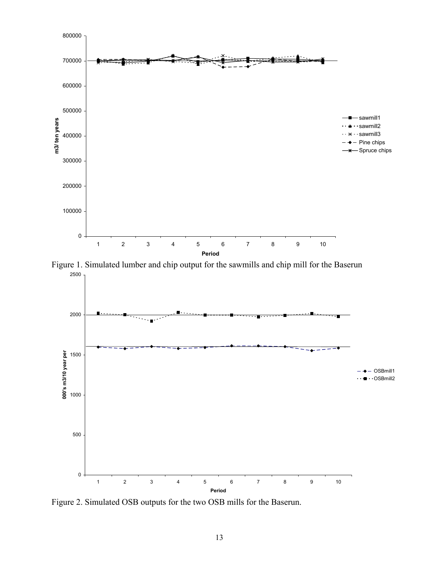

Figure 1. Simulated lumber and chip output for the sawmills and chip mill for the Baserun 2500



Figure 2. Simulated OSB outputs for the two OSB mills for the Baserun.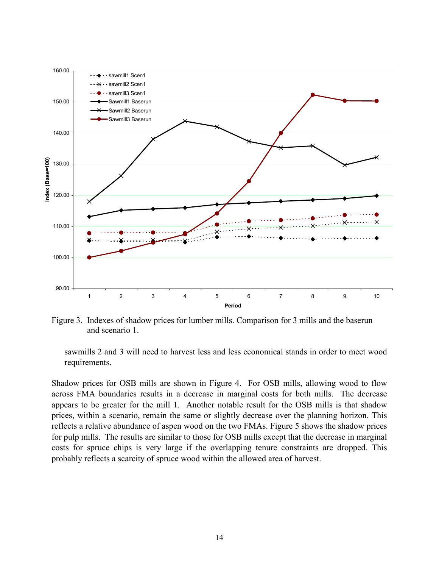

Figure 3. Indexes of shadow prices for lumber mills. Comparison for 3 mills and the baserun and scenario 1.

sawmills 2 and 3 will need to harvest less and less economical stands in order to meet wood requirements.

Shadow prices for OSB mills are shown in Figure 4. For OSB mills, allowing wood to flow across FMA boundaries results in a decrease in marginal costs for both mills. The decrease appears to be greater for the mill 1. Another notable result for the OSB mills is that shadow prices, within a scenario, remain the same or slightly decrease over the planning horizon. This reflects a relative abundance of aspen wood on the two FMAs. Figure 5 shows the shadow prices for pulp mills. The results are similar to those for OSB mills except that the decrease in marginal costs for spruce chips is very large if the overlapping tenure constraints are dropped. This probably reflects a scarcity of spruce wood within the allowed area of harvest.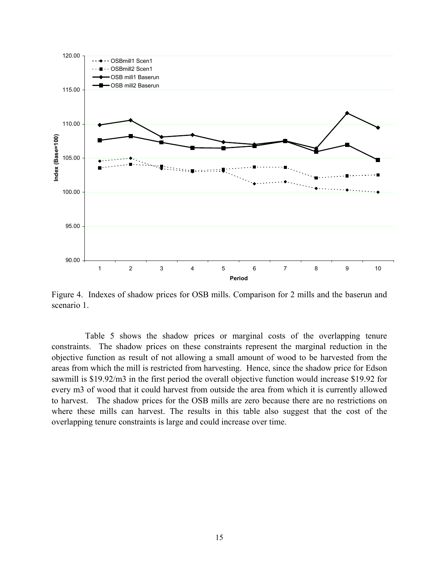

Figure 4. Indexes of shadow prices for OSB mills. Comparison for 2 mills and the baserun and scenario 1.

Table 5 shows the shadow prices or marginal costs of the overlapping tenure constraints. The shadow prices on these constraints represent the marginal reduction in the objective function as result of not allowing a small amount of wood to be harvested from the areas from which the mill is restricted from harvesting. Hence, since the shadow price for Edson sawmill is \$19.92/m3 in the first period the overall objective function would increase \$19.92 for every m3 of wood that it could harvest from outside the area from which it is currently allowed to harvest. The shadow prices for the OSB mills are zero because there are no restrictions on where these mills can harvest. The results in this table also suggest that the cost of the overlapping tenure constraints is large and could increase over time.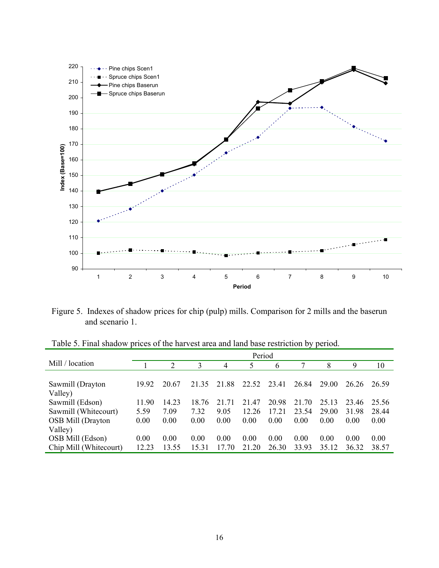

Figure 5. Indexes of shadow prices for chip (pulp) mills. Comparison for 2 mills and the baserun and scenario 1.

|                        | Period |       |       |                |       |       |       |       |       |       |
|------------------------|--------|-------|-------|----------------|-------|-------|-------|-------|-------|-------|
| Mill / location        |        | 2     | 3     | $\overline{4}$ | 5     | 6     |       | 8     | 9     | 10    |
|                        |        |       |       |                |       |       |       |       |       |       |
| Sawmill (Drayton       | 19.92  | 20.67 | 21 35 | 21.88          | 22.52 | 23.41 | 26.84 | 29.00 | 26.26 | 26.59 |
| Valley)                |        |       |       |                |       |       |       |       |       |       |
| Sawmill (Edson)        | 11.90  | 14.23 | 18.76 | 21<br>-71      | 21.47 | 20.98 | 21.70 | 25.13 | 23.46 | 25.56 |
| Sawmill (Whitecourt)   | 5.59   | 7.09  | 7.32  | 9.05           | 12.26 | 17.21 | 23.54 | 29.00 | 31.98 | 28.44 |
| OSB Mill (Drayton      | 0.00   | 0.00  | 0.00  | 0.00           | 0.00  | 0.00  | 0.00  | 0.00  | 0.00  | 0.00  |
| Valley)                |        |       |       |                |       |       |       |       |       |       |
| OSB Mill (Edson)       | 0.00   | 0.00  | 0.00  | 0.00           | 0.00  | 0.00  | 0.00  | 0.00  | 0.00  | 0.00  |
| Chip Mill (Whitecourt) | 12.23  | 13.55 | 15.31 | 17.70          | 21.20 | 26.30 | 33.93 | 35.12 | 36.32 | 38.57 |

Table 5. Final shadow prices of the harvest area and land base restriction by period.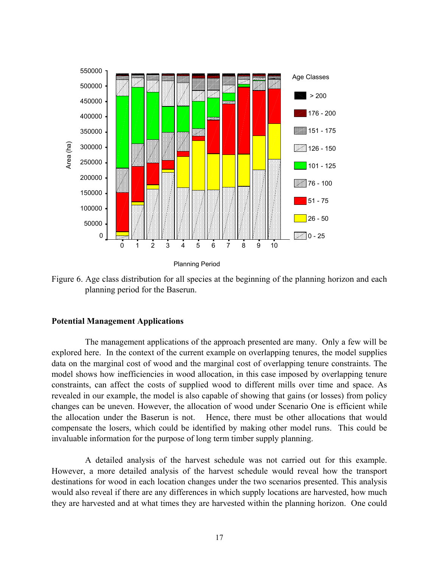

Figure 6. Age class distribution for all species at the beginning of the planning horizon and each planning period for the Baserun.

#### **Potential Management Applications**

The management applications of the approach presented are many. Only a few will be explored here. In the context of the current example on overlapping tenures, the model supplies data on the marginal cost of wood and the marginal cost of overlapping tenure constraints. The model shows how inefficiencies in wood allocation, in this case imposed by overlapping tenure constraints, can affect the costs of supplied wood to different mills over time and space. As revealed in our example, the model is also capable of showing that gains (or losses) from policy changes can be uneven. However, the allocation of wood under Scenario One is efficient while the allocation under the Baserun is not. Hence, there must be other allocations that would compensate the losers, which could be identified by making other model runs. This could be invaluable information for the purpose of long term timber supply planning.

A detailed analysis of the harvest schedule was not carried out for this example. However, a more detailed analysis of the harvest schedule would reveal how the transport destinations for wood in each location changes under the two scenarios presented. This analysis would also reveal if there are any differences in which supply locations are harvested, how much they are harvested and at what times they are harvested within the planning horizon. One could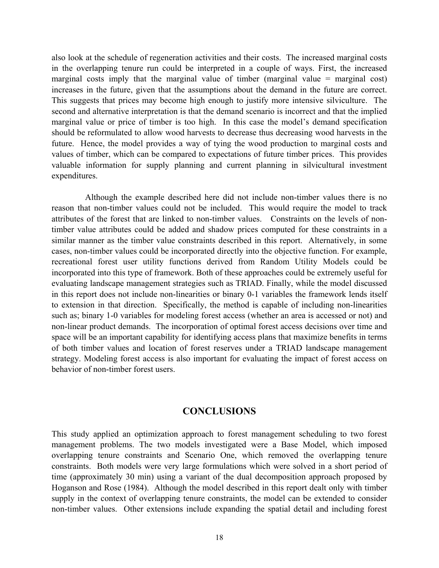also look at the schedule of regeneration activities and their costs. The increased marginal costs in the overlapping tenure run could be interpreted in a couple of ways. First, the increased marginal costs imply that the marginal value of timber (marginal value  $=$  marginal cost) increases in the future, given that the assumptions about the demand in the future are correct. This suggests that prices may become high enough to justify more intensive silviculture. The second and alternative interpretation is that the demand scenario is incorrect and that the implied marginal value or price of timber is too high. In this case the model's demand specification should be reformulated to allow wood harvests to decrease thus decreasing wood harvests in the future. Hence, the model provides a way of tying the wood production to marginal costs and values of timber, which can be compared to expectations of future timber prices. This provides valuable information for supply planning and current planning in silvicultural investment expenditures.

Although the example described here did not include non-timber values there is no reason that non-timber values could not be included. This would require the model to track attributes of the forest that are linked to non-timber values. Constraints on the levels of nontimber value attributes could be added and shadow prices computed for these constraints in a similar manner as the timber value constraints described in this report. Alternatively, in some cases, non-timber values could be incorporated directly into the objective function. For example, recreational forest user utility functions derived from Random Utility Models could be incorporated into this type of framework. Both of these approaches could be extremely useful for evaluating landscape management strategies such as TRIAD. Finally, while the model discussed in this report does not include non-linearities or binary 0-1 variables the framework lends itself to extension in that direction. Specifically, the method is capable of including non-linearities such as; binary 1-0 variables for modeling forest access (whether an area is accessed or not) and non-linear product demands. The incorporation of optimal forest access decisions over time and space will be an important capability for identifying access plans that maximize benefits in terms of both timber values and location of forest reserves under a TRIAD landscape management strategy. Modeling forest access is also important for evaluating the impact of forest access on behavior of non-timber forest users.

# **CONCLUSIONS**

This study applied an optimization approach to forest management scheduling to two forest management problems. The two models investigated were a Base Model, which imposed overlapping tenure constraints and Scenario One, which removed the overlapping tenure constraints. Both models were very large formulations which were solved in a short period of time (approximately 30 min) using a variant of the dual decomposition approach proposed by Hoganson and Rose (1984). Although the model described in this report dealt only with timber supply in the context of overlapping tenure constraints, the model can be extended to consider non-timber values. Other extensions include expanding the spatial detail and including forest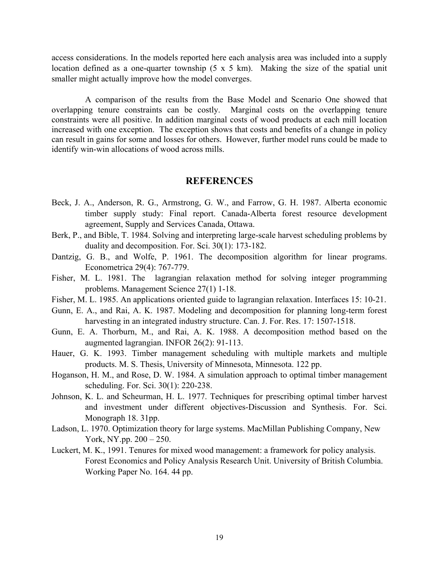access considerations. In the models reported here each analysis area was included into a supply location defined as a one-quarter township (5 x 5 km). Making the size of the spatial unit smaller might actually improve how the model converges.

A comparison of the results from the Base Model and Scenario One showed that overlapping tenure constraints can be costly. Marginal costs on the overlapping tenure constraints were all positive. In addition marginal costs of wood products at each mill location increased with one exception. The exception shows that costs and benefits of a change in policy can result in gains for some and losses for others. However, further model runs could be made to identify win-win allocations of wood across mills.

#### **REFERENCES**

- Beck, J. A., Anderson, R. G., Armstrong, G. W., and Farrow, G. H. 1987. Alberta economic timber supply study: Final report. Canada-Alberta forest resource development agreement, Supply and Services Canada, Ottawa.
- Berk, P., and Bible, T. 1984. Solving and interpreting large-scale harvest scheduling problems by duality and decomposition. For. Sci. 30(1): 173-182.
- Dantzig, G. B., and Wolfe, P. 1961. The decomposition algorithm for linear programs. Econometrica 29(4): 767-779.
- Fisher, M. L. 1981. The lagrangian relaxation method for solving integer programming problems. Management Science 27(1) 1-18.
- Fisher, M. L. 1985. An applications oriented guide to lagrangian relaxation. Interfaces 15: 10-21.
- Gunn, E. A., and Rai, A. K. 1987. Modeling and decomposition for planning long-term forest harvesting in an integrated industry structure. Can. J. For. Res. 17: 1507-1518.
- Gunn, E. A. Thorburn, M., and Rai, A. K. 1988. A decomposition method based on the augmented lagrangian. INFOR 26(2): 91-113.
- Hauer, G. K. 1993. Timber management scheduling with multiple markets and multiple products. M. S. Thesis, University of Minnesota, Minnesota. 122 pp.
- Hoganson, H. M., and Rose, D. W. 1984. A simulation approach to optimal timber management scheduling. For. Sci. 30(1): 220-238.
- Johnson, K. L. and Scheurman, H. L. 1977. Techniques for prescribing optimal timber harvest and investment under different objectives-Discussion and Synthesis. For. Sci. Monograph 18. 31pp.
- Ladson, L. 1970. Optimization theory for large systems. MacMillan Publishing Company, New York, NY.pp. 200 – 250.
- Luckert, M. K., 1991. Tenures for mixed wood management: a framework for policy analysis. Forest Economics and Policy Analysis Research Unit. University of British Columbia. Working Paper No. 164. 44 pp.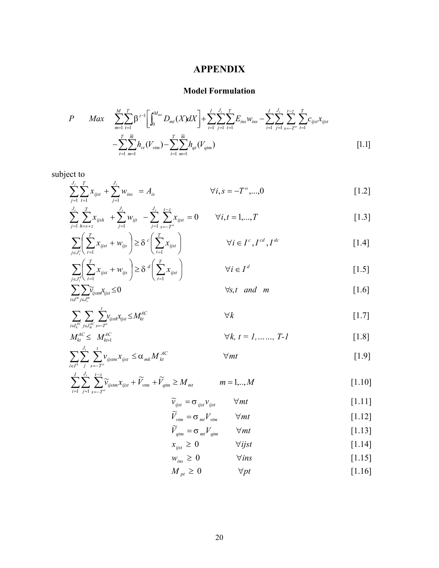# **APPENDIX**

# **Model Formulation**

$$
P \quad Max \quad \sum_{m=1}^{M} \sum_{t=1}^{T} \beta^{t-1} \Biggl[ \int_{0}^{M_{mt}} D_{mt}(X) dX \Biggr] + \sum_{i=1}^{I} \sum_{j=1}^{J_{i}} \sum_{t=1}^{T} E_{ins} w_{ins} - \sum_{i=1}^{I} \sum_{j=1}^{J_{i}} \sum_{s=-T^{o}}^{T} \sum_{t=1}^{T} C_{ijst} x_{ijst} - \sum_{t=1}^{T} \sum_{m=1}^{T} h_{vt} (V_{vtm}) - \sum_{t=1}^{T} \sum_{m=1}^{T} h_{qt} (V_{qtm}) \tag{1.1}
$$

subject to

*j J*

*T*

*t*

$$
\sum_{j=1}^{J_i} \sum_{t=1}^{T} x_{ijst} + \sum_{j=1}^{J_i} w_{ins} = A_{is} \qquad \forall i, s = -T^o, ..., 0
$$
 [1.2]

$$
\sum_{j=1}^{J_i} \sum_{h=s+z}^{T} x_{ijsh} + \sum_{j=1}^{J_i} w_{ijt} - \sum_{j=1}^{J_i} \sum_{s=-T^o}^{t-z} x_{ijst} = 0 \qquad \forall i, t = 1,...,T
$$
 [1.3]

$$
\sum_{j \in J_i^c} \left( \sum_{t=1}^T x_{ijst} + w_{ijs} \right) \ge \delta^c \left( \sum_{t=1}^T x_{ijst} \right) \qquad \forall i \in I^c, I^{cd}, I^{dc}
$$
 [1.4]

$$
\sum_{j \in J_i^d} \left( \sum_{t=1}^T x_{ijst} + w_{ijs} \right) \ge \delta^d \left( \sum_{t=1}^T x_{ijst} \right) \qquad \forall i \in I^d \tag{1.5}
$$

$$
\sum_{i \in I^{m}} \sum_{j \in J^{m}_{i}} \widetilde{\nu}_{ijstm} \chi_{ijst} \leq 0 \qquad \qquad \forall s, t \quad and \quad m \qquad [1.6]
$$

$$
\sum_{i \in I_k^{AC}} \sum_{j \in J_{ik}^{AC}} \sum_{s=-T^o}^{t} v_{ijstk} x_{ijst} \le M_{kt}^{AC} \qquad \forall k
$$

$$
M_{kt}^{AC} \leq M_{kt+1}^{AC} \qquad \forall k, t = 1, \dots, T-1 \qquad [1.8]
$$

$$
\sum_{i\in I^k}\sum_{j}^{J_i}\sum_{s=-T^o}^{t}v_{ijstm}x_{ijst} \leq \alpha_{mk}M_{kt}^{AC} \qquad \qquad \forall mt
$$

$$
\sum_{i=1}^{I} \sum_{j=1}^{J_i} \sum_{s=-T'}^{t-z} \widetilde{v}_{ijstm} x_{ijst} + \widetilde{V}_{vtm} + \widetilde{V}_{qtm} \ge M_{mt} \qquad m = 1,..,M
$$
 [1.10]

$$
\widetilde{\nu}_{ijst} = \sigma_{ijst} \nu_{ijst} \qquad \forall mt \qquad [1.11]
$$

$$
\widetilde{V}_{\nu tm} = \sigma_{m} V_{\nu tm} \qquad \forall mt \qquad [1.12]
$$

$$
\widetilde{V}_{qtm} = \sigma_{mt} V_{qtm} \qquad \forall mt \qquad [1.13]
$$

$$
x_{ijst} \ge 0 \qquad \forall ijst \qquad [1.14]
$$

$$
w_{ins} \ge 0 \qquad \qquad \forall ins \tag{1.15}
$$

$$
M_{pt} \ge 0 \qquad \forall pt \qquad [1.16]
$$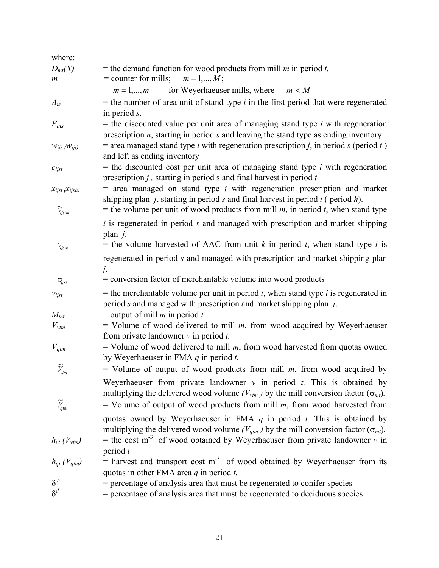| where:                                                         |                                                                                                                                                                                                                                                                        |
|----------------------------------------------------------------|------------------------------------------------------------------------------------------------------------------------------------------------------------------------------------------------------------------------------------------------------------------------|
| $D_{mt}(X)$<br>m                                               | = the demand function for wood products from mill $m$ in period $t$ .<br>= counter for mills; $m = 1,,M$ ;                                                                                                                                                             |
|                                                                | for Weyerhaeuser mills, where<br>$m=1,\ldots,\overline{m}$<br>$\overline{m}$ < M                                                                                                                                                                                       |
| $A_{is}$                                                       | $=$ the number of area unit of stand type $i$ in the first period that were regenerated<br>in period $s$ .                                                                                                                                                             |
| $E_{ins}$                                                      | $=$ the discounted value per unit area of managing stand type <i>i</i> with regeneration<br>prescription $n$ , starting in period $s$ and leaving the stand type as ending inventory                                                                                   |
| $W_{ijs}$ ( $W_{ijt}$ )                                        | = area managed stand type <i>i</i> with regeneration prescription <i>j</i> , in period <i>s</i> (period <i>t</i> )<br>and left as ending inventory                                                                                                                     |
| $c_{ijst}$                                                     | $=$ the discounted cost per unit area of managing stand type <i>i</i> with regeneration<br>prescription $j$ , starting in period s and final harvest in period $t$                                                                                                     |
| $x_{ijst}$ ( $x_{ijsh}$ )<br>$\widetilde{\mathcal{V}}_{ijstm}$ | $=$ area managed on stand type <i>i</i> with regeneration prescription and market<br>shipping plan $j$ , starting in period s and final harvest in period $t$ (period $h$ ).<br>= the volume per unit of wood products from mill $m$ , in period $t$ , when stand type |
|                                                                | $i$ is regenerated in period $s$ and managed with prescription and market shipping<br>plan $j$ .                                                                                                                                                                       |
| $V_{ijstk}$                                                    | = the volume harvested of AAC from unit $k$ in period $t$ , when stand type $i$ is                                                                                                                                                                                     |
|                                                                | regenerated in period s and managed with prescription and market shipping plan<br>j.                                                                                                                                                                                   |
| $\sigma_{ijst}$                                                | $=$ conversion factor of merchantable volume into wood products                                                                                                                                                                                                        |
| $v_{ijst}$<br>$M_{mt}$                                         | = the merchantable volume per unit in period $t$ , when stand type $i$ is regenerated in<br>period $s$ and managed with prescription and market shipping plan $j$ .<br>= output of mill $m$ in period $t$                                                              |
| $V_{\rm vtm}$                                                  | $=$ Volume of wood delivered to mill $m$ , from wood acquired by Weyerhaeuser<br>from private landowner $v$ in period $t$ .                                                                                                                                            |
| $V_{qtm}$                                                      | $=$ Volume of wood delivered to mill $m$ , from wood harvested from quotas owned<br>by Weyerhaeuser in FMA $q$ in period $t$ .                                                                                                                                         |
| $\widetilde{V}_{\mathit{vtm}}$                                 | = Volume of output of wood products from mill $m$ , from wood acquired by<br>Weyerhaeuser from private landowner $v$ in period $t$ . This is obtained by                                                                                                               |
| $\widetilde{V}_{qtm}$                                          | multiplying the delivered wood volume ( $V_{\nu tm}$ ) by the mill conversion factor ( $\sigma_{mt}$ ).<br>= Volume of output of wood products from mill $m$ , from wood harvested from                                                                                |
|                                                                | quotas owned by Weyerhaeuser in FMA $q$ in period $t$ . This is obtained by                                                                                                                                                                                            |
| $h_{vt}$ (V <sub>vtm</sub> )<br>$h_{qt}$ (V <sub>qtm</sub> )   | multiplying the delivered wood volume ( $V_{qtm}$ ) by the mill conversion factor ( $\sigma_{mt}$ ).<br>= the cost $m^{-3}$ of wood obtained by Weyerhaeuser from private landowner v in<br>period $t$                                                                 |
|                                                                | $=$ harvest and transport cost m <sup>-3</sup> of wood obtained by Weyerhaeuser from its<br>quotas in other FMA area $q$ in period $t$ .                                                                                                                               |
| $\delta^{\,c}$                                                 | = percentage of analysis area that must be regenerated to conifer species                                                                                                                                                                                              |
| $\delta^d$                                                     | = percentage of analysis area that must be regenerated to deciduous species                                                                                                                                                                                            |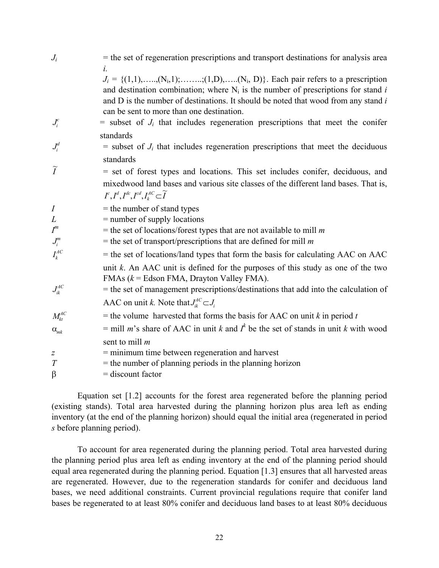| $J_i$            | = the set of regeneration prescriptions and transport destinations for analysis area<br>$\dot{l}$ .                                                                                                                                                                                                                                |
|------------------|------------------------------------------------------------------------------------------------------------------------------------------------------------------------------------------------------------------------------------------------------------------------------------------------------------------------------------|
|                  | $J_i = \{(1,1), \ldots, (N_i,1); \ldots, (1,D), \ldots, (N_i, D)\}\.$ Each pair refers to a prescription<br>and destination combination; where $N_i$ is the number of prescriptions for stand i<br>and D is the number of destinations. It should be noted that wood from any stand i<br>can be sent to more than one destination. |
| $J_i^c$          | $=$ subset of $J_i$ that includes regeneration prescriptions that meet the conifer                                                                                                                                                                                                                                                 |
|                  | standards                                                                                                                                                                                                                                                                                                                          |
| $J_i^d$          | $=$ subset of $J_i$ that includes regeneration prescriptions that meet the deciduous<br>standards                                                                                                                                                                                                                                  |
| $\widetilde{I}$  |                                                                                                                                                                                                                                                                                                                                    |
|                  | = set of forest types and locations. This set includes conifer, deciduous, and                                                                                                                                                                                                                                                     |
|                  | mixedwood land bases and various site classes of the different land bases. That is,<br>$I^c, I^d, I^{dc}, I^{cd}, I^{AC}_k \subset \widetilde{I}$                                                                                                                                                                                  |
| $\boldsymbol{I}$ | $=$ the number of stand types                                                                                                                                                                                                                                                                                                      |
| L                | $=$ number of supply locations                                                                                                                                                                                                                                                                                                     |
| $I^m$            | = the set of locations/forest types that are not available to mill $m$                                                                                                                                                                                                                                                             |
| $J_i^m$          | = the set of transport/prescriptions that are defined for mill $m$                                                                                                                                                                                                                                                                 |
| $I_k^{AC}$       | $=$ the set of locations/land types that form the basis for calculating AAC on AAC                                                                                                                                                                                                                                                 |
|                  | unit $k$ . An AAC unit is defined for the purposes of this study as one of the two<br>FMAs $(k = Edson FMA, Dryton Valley FMA)$ .                                                                                                                                                                                                  |
| $J_{ik}^{AC}$    | = the set of management prescriptions/destinations that add into the calculation of                                                                                                                                                                                                                                                |
|                  | AAC on unit k. Note that $J_{ik}^{AC} \subset J_i$                                                                                                                                                                                                                                                                                 |
| $M_{kt}^{AC}$    | = the volume harvested that forms the basis for AAC on unit $k$ in period $t$                                                                                                                                                                                                                                                      |
| $\alpha_{mk}$    | = mill <i>m</i> 's share of AAC in unit <i>k</i> and $I^k$ be the set of stands in unit <i>k</i> with wood                                                                                                                                                                                                                         |
|                  | sent to mill $m$                                                                                                                                                                                                                                                                                                                   |
| $\overline{z}$   | $=$ minimum time between regeneration and harvest                                                                                                                                                                                                                                                                                  |
| T                | $=$ the number of planning periods in the planning horizon                                                                                                                                                                                                                                                                         |
| $\beta$          | $=$ discount factor                                                                                                                                                                                                                                                                                                                |
|                  |                                                                                                                                                                                                                                                                                                                                    |

Equation set [1.2] accounts for the forest area regenerated before the planning period (existing stands). Total area harvested during the planning horizon plus area left as ending inventory (at the end of the planning horizon) should equal the initial area (regenerated in period *s* before planning period).

To account for area regenerated during the planning period. Total area harvested during the planning period plus area left as ending inventory at the end of the planning period should equal area regenerated during the planning period. Equation [1.3] ensures that all harvested areas are regenerated. However, due to the regeneration standards for conifer and deciduous land bases, we need additional constraints. Current provincial regulations require that conifer land bases be regenerated to at least 80% conifer and deciduous land bases to at least 80% deciduous